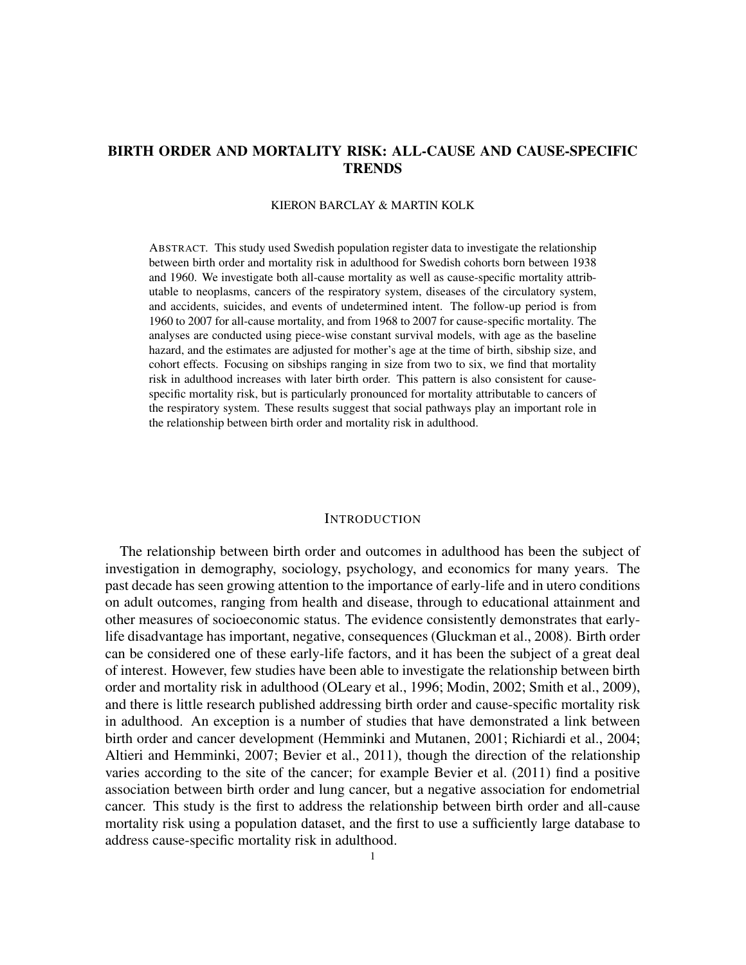# BIRTH ORDER AND MORTALITY RISK: ALL-CAUSE AND CAUSE-SPECIFIC **TRENDS**

### KIERON BARCLAY & MARTIN KOLK

ABSTRACT. This study used Swedish population register data to investigate the relationship between birth order and mortality risk in adulthood for Swedish cohorts born between 1938 and 1960. We investigate both all-cause mortality as well as cause-specific mortality attributable to neoplasms, cancers of the respiratory system, diseases of the circulatory system, and accidents, suicides, and events of undetermined intent. The follow-up period is from 1960 to 2007 for all-cause mortality, and from 1968 to 2007 for cause-specific mortality. The analyses are conducted using piece-wise constant survival models, with age as the baseline hazard, and the estimates are adjusted for mother's age at the time of birth, sibship size, and cohort effects. Focusing on sibships ranging in size from two to six, we find that mortality risk in adulthood increases with later birth order. This pattern is also consistent for causespecific mortality risk, but is particularly pronounced for mortality attributable to cancers of the respiratory system. These results suggest that social pathways play an important role in the relationship between birth order and mortality risk in adulthood.

# **INTRODUCTION**

The relationship between birth order and outcomes in adulthood has been the subject of investigation in demography, sociology, psychology, and economics for many years. The past decade has seen growing attention to the importance of early-life and in utero conditions on adult outcomes, ranging from health and disease, through to educational attainment and other measures of socioeconomic status. The evidence consistently demonstrates that earlylife disadvantage has important, negative, consequences (Gluckman et al., 2008). Birth order can be considered one of these early-life factors, and it has been the subject of a great deal of interest. However, few studies have been able to investigate the relationship between birth order and mortality risk in adulthood (OLeary et al., 1996; Modin, 2002; Smith et al., 2009), and there is little research published addressing birth order and cause-specific mortality risk in adulthood. An exception is a number of studies that have demonstrated a link between birth order and cancer development (Hemminki and Mutanen, 2001; Richiardi et al., 2004; Altieri and Hemminki, 2007; Bevier et al., 2011), though the direction of the relationship varies according to the site of the cancer; for example Bevier et al. (2011) find a positive association between birth order and lung cancer, but a negative association for endometrial cancer. This study is the first to address the relationship between birth order and all-cause mortality risk using a population dataset, and the first to use a sufficiently large database to address cause-specific mortality risk in adulthood.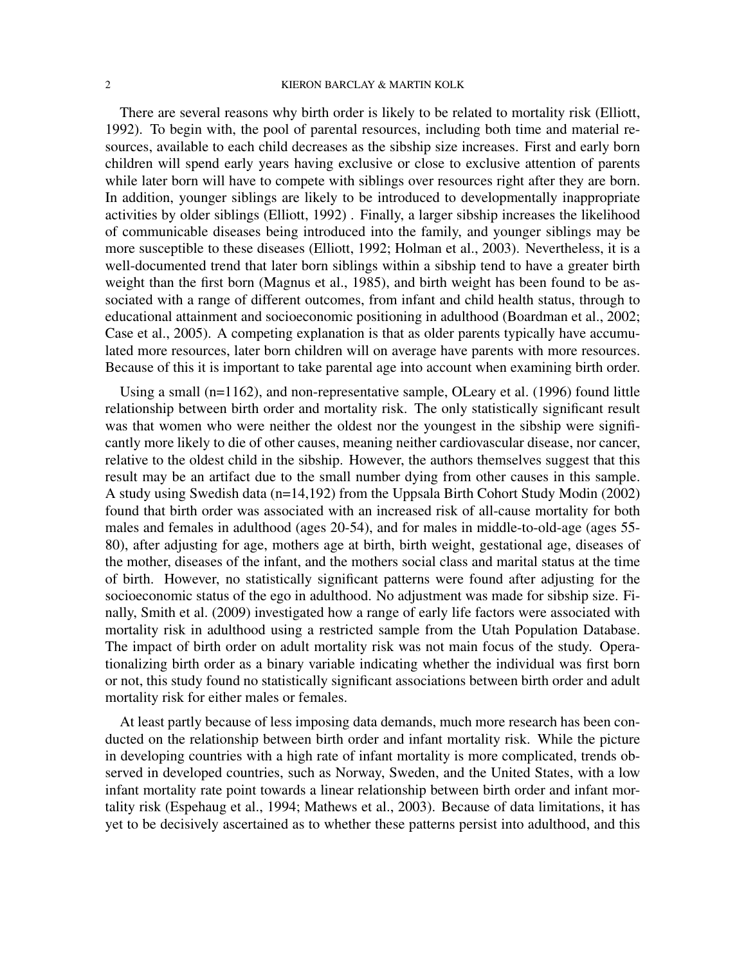There are several reasons why birth order is likely to be related to mortality risk (Elliott, 1992). To begin with, the pool of parental resources, including both time and material resources, available to each child decreases as the sibship size increases. First and early born children will spend early years having exclusive or close to exclusive attention of parents while later born will have to compete with siblings over resources right after they are born. In addition, younger siblings are likely to be introduced to developmentally inappropriate activities by older siblings (Elliott, 1992) . Finally, a larger sibship increases the likelihood of communicable diseases being introduced into the family, and younger siblings may be more susceptible to these diseases (Elliott, 1992; Holman et al., 2003). Nevertheless, it is a well-documented trend that later born siblings within a sibship tend to have a greater birth weight than the first born (Magnus et al., 1985), and birth weight has been found to be associated with a range of different outcomes, from infant and child health status, through to educational attainment and socioeconomic positioning in adulthood (Boardman et al., 2002; Case et al., 2005). A competing explanation is that as older parents typically have accumulated more resources, later born children will on average have parents with more resources. Because of this it is important to take parental age into account when examining birth order.

Using a small (n=1162), and non-representative sample, OLeary et al. (1996) found little relationship between birth order and mortality risk. The only statistically significant result was that women who were neither the oldest nor the youngest in the sibship were significantly more likely to die of other causes, meaning neither cardiovascular disease, nor cancer, relative to the oldest child in the sibship. However, the authors themselves suggest that this result may be an artifact due to the small number dying from other causes in this sample. A study using Swedish data (n=14,192) from the Uppsala Birth Cohort Study Modin (2002) found that birth order was associated with an increased risk of all-cause mortality for both males and females in adulthood (ages 20-54), and for males in middle-to-old-age (ages 55- 80), after adjusting for age, mothers age at birth, birth weight, gestational age, diseases of the mother, diseases of the infant, and the mothers social class and marital status at the time of birth. However, no statistically significant patterns were found after adjusting for the socioeconomic status of the ego in adulthood. No adjustment was made for sibship size. Finally, Smith et al. (2009) investigated how a range of early life factors were associated with mortality risk in adulthood using a restricted sample from the Utah Population Database. The impact of birth order on adult mortality risk was not main focus of the study. Operationalizing birth order as a binary variable indicating whether the individual was first born or not, this study found no statistically significant associations between birth order and adult mortality risk for either males or females.

At least partly because of less imposing data demands, much more research has been conducted on the relationship between birth order and infant mortality risk. While the picture in developing countries with a high rate of infant mortality is more complicated, trends observed in developed countries, such as Norway, Sweden, and the United States, with a low infant mortality rate point towards a linear relationship between birth order and infant mortality risk (Espehaug et al., 1994; Mathews et al., 2003). Because of data limitations, it has yet to be decisively ascertained as to whether these patterns persist into adulthood, and this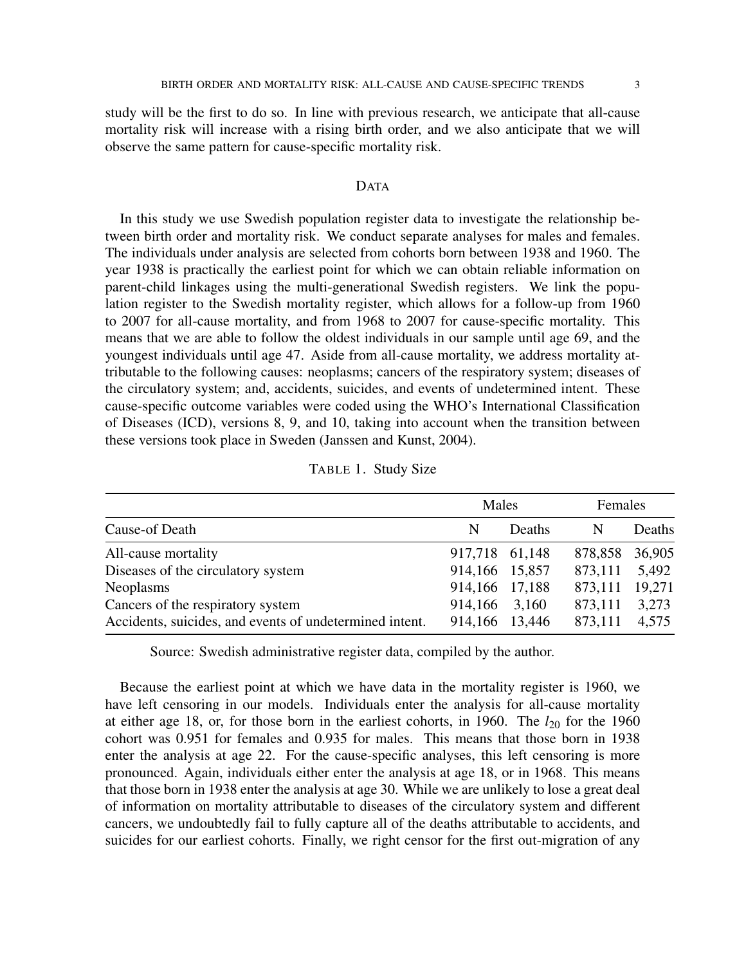study will be the first to do so. In line with previous research, we anticipate that all-cause mortality risk will increase with a rising birth order, and we also anticipate that we will observe the same pattern for cause-specific mortality risk.

### DATA

In this study we use Swedish population register data to investigate the relationship between birth order and mortality risk. We conduct separate analyses for males and females. The individuals under analysis are selected from cohorts born between 1938 and 1960. The year 1938 is practically the earliest point for which we can obtain reliable information on parent-child linkages using the multi-generational Swedish registers. We link the population register to the Swedish mortality register, which allows for a follow-up from 1960 to 2007 for all-cause mortality, and from 1968 to 2007 for cause-specific mortality. This means that we are able to follow the oldest individuals in our sample until age 69, and the youngest individuals until age 47. Aside from all-cause mortality, we address mortality attributable to the following causes: neoplasms; cancers of the respiratory system; diseases of the circulatory system; and, accidents, suicides, and events of undetermined intent. These cause-specific outcome variables were coded using the WHO's International Classification of Diseases (ICD), versions 8, 9, and 10, taking into account when the transition between these versions took place in Sweden (Janssen and Kunst, 2004).

| TABLE 1. Study Size |  |  |
|---------------------|--|--|
|---------------------|--|--|

|                                                         | Males          |        | Females |        |
|---------------------------------------------------------|----------------|--------|---------|--------|
| Cause-of Death                                          | N              | Deaths | N       | Deaths |
| All-cause mortality                                     | 917,718 61,148 |        | 878,858 | 36,905 |
| Diseases of the circulatory system                      | 914,166 15,857 |        | 873,111 | 5,492  |
| Neoplasms                                               | 914,166 17,188 |        | 873,111 | 19,271 |
| Cancers of the respiratory system                       | 914,166 3,160  |        | 873,111 | 3,273  |
| Accidents, suicides, and events of undetermined intent. | 914,166 13,446 |        | 873,111 | 4,575  |

Source: Swedish administrative register data, compiled by the author.

Because the earliest point at which we have data in the mortality register is 1960, we have left censoring in our models. Individuals enter the analysis for all-cause mortality at either age 18, or, for those born in the earliest cohorts, in 1960. The  $l_{20}$  for the 1960 cohort was 0.951 for females and 0.935 for males. This means that those born in 1938 enter the analysis at age 22. For the cause-specific analyses, this left censoring is more pronounced. Again, individuals either enter the analysis at age 18, or in 1968. This means that those born in 1938 enter the analysis at age 30. While we are unlikely to lose a great deal of information on mortality attributable to diseases of the circulatory system and different cancers, we undoubtedly fail to fully capture all of the deaths attributable to accidents, and suicides for our earliest cohorts. Finally, we right censor for the first out-migration of any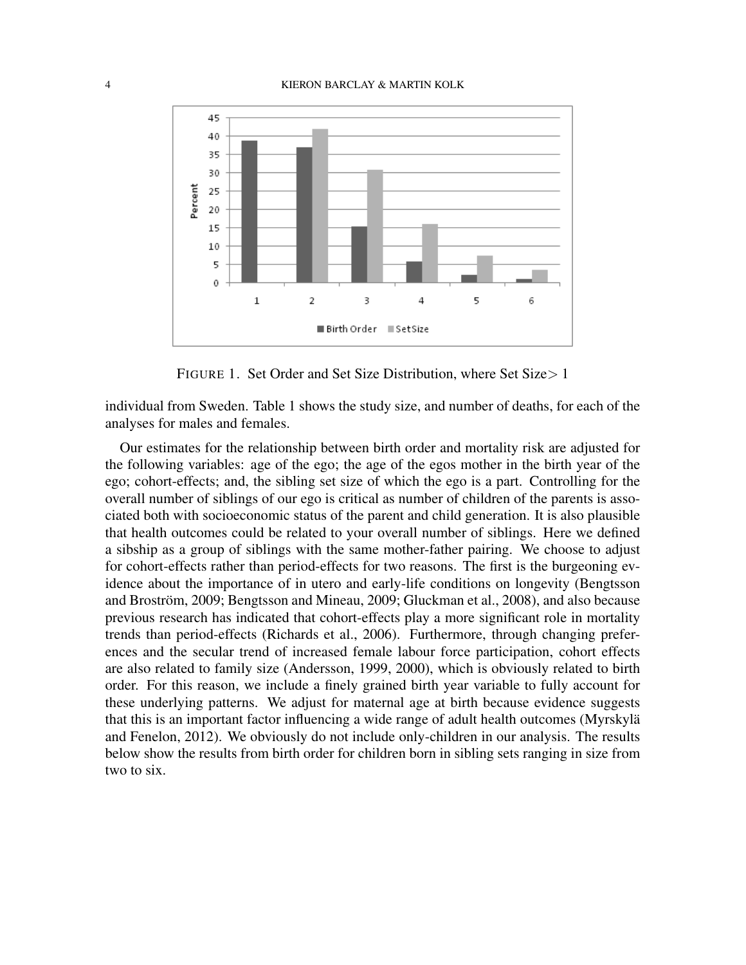

FIGURE 1. Set Order and Set Size Distribution, where Set Size> 1

individual from Sweden. Table 1 shows the study size, and number of deaths, for each of the analyses for males and females.

Our estimates for the relationship between birth order and mortality risk are adjusted for the following variables: age of the ego; the age of the egos mother in the birth year of the ego; cohort-effects; and, the sibling set size of which the ego is a part. Controlling for the overall number of siblings of our ego is critical as number of children of the parents is associated both with socioeconomic status of the parent and child generation. It is also plausible that health outcomes could be related to your overall number of siblings. Here we defined a sibship as a group of siblings with the same mother-father pairing. We choose to adjust for cohort-effects rather than period-effects for two reasons. The first is the burgeoning evidence about the importance of in utero and early-life conditions on longevity (Bengtsson and Broström, 2009; Bengtsson and Mineau, 2009; Gluckman et al., 2008), and also because previous research has indicated that cohort-effects play a more significant role in mortality trends than period-effects (Richards et al., 2006). Furthermore, through changing preferences and the secular trend of increased female labour force participation, cohort effects are also related to family size (Andersson, 1999, 2000), which is obviously related to birth order. For this reason, we include a finely grained birth year variable to fully account for these underlying patterns. We adjust for maternal age at birth because evidence suggests that this is an important factor influencing a wide range of adult health outcomes (Myrskyla¨ and Fenelon, 2012). We obviously do not include only-children in our analysis. The results below show the results from birth order for children born in sibling sets ranging in size from two to six.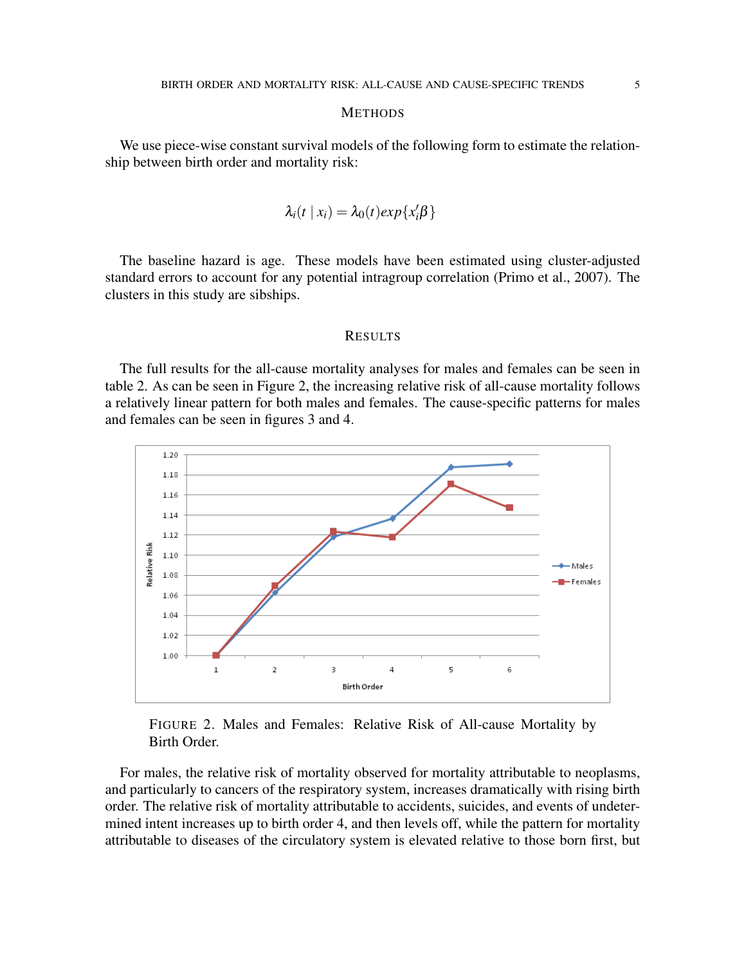#### **METHODS**

We use piece-wise constant survival models of the following form to estimate the relationship between birth order and mortality risk:

$$
\lambda_i(t \mid x_i) = \lambda_0(t) \exp\{x_i'\beta\}
$$

The baseline hazard is age. These models have been estimated using cluster-adjusted standard errors to account for any potential intragroup correlation (Primo et al., 2007). The clusters in this study are sibships.

### RESULTS

The full results for the all-cause mortality analyses for males and females can be seen in table 2. As can be seen in Figure 2, the increasing relative risk of all-cause mortality follows a relatively linear pattern for both males and females. The cause-specific patterns for males and females can be seen in figures 3 and 4.



FIGURE 2. Males and Females: Relative Risk of All-cause Mortality by Birth Order.

For males, the relative risk of mortality observed for mortality attributable to neoplasms, and particularly to cancers of the respiratory system, increases dramatically with rising birth order. The relative risk of mortality attributable to accidents, suicides, and events of undetermined intent increases up to birth order 4, and then levels off, while the pattern for mortality attributable to diseases of the circulatory system is elevated relative to those born first, but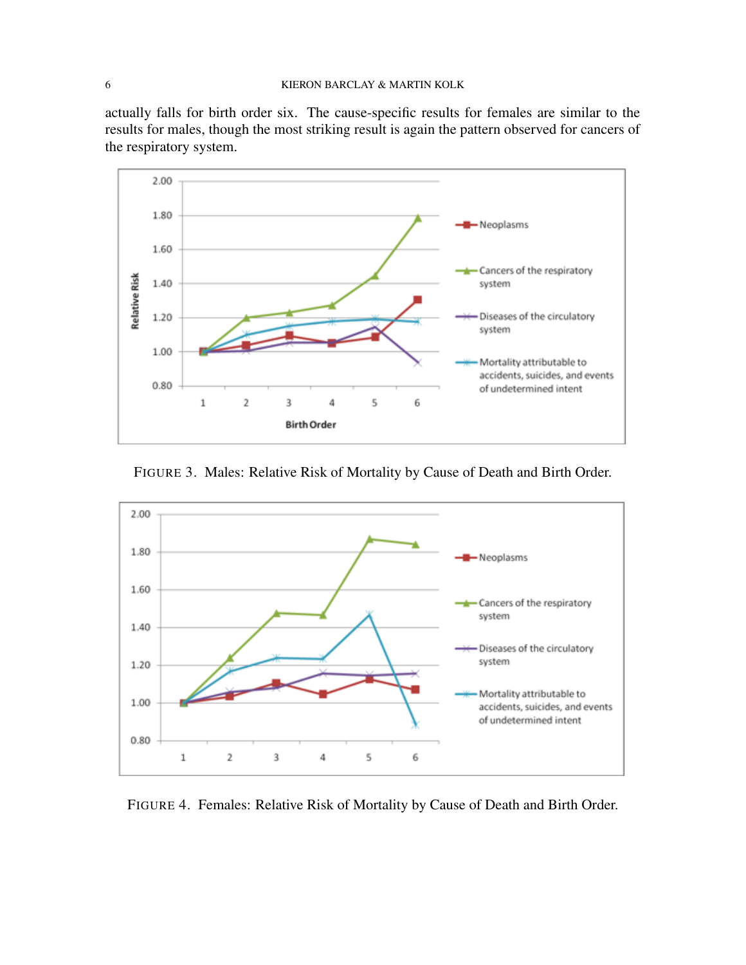actually falls for birth order six. The cause-specific results for females are similar to the results for males, though the most striking result is again the pattern observed for cancers of the respiratory system.



FIGURE 3. Males: Relative Risk of Mortality by Cause of Death and Birth Order.



FIGURE 4. Females: Relative Risk of Mortality by Cause of Death and Birth Order.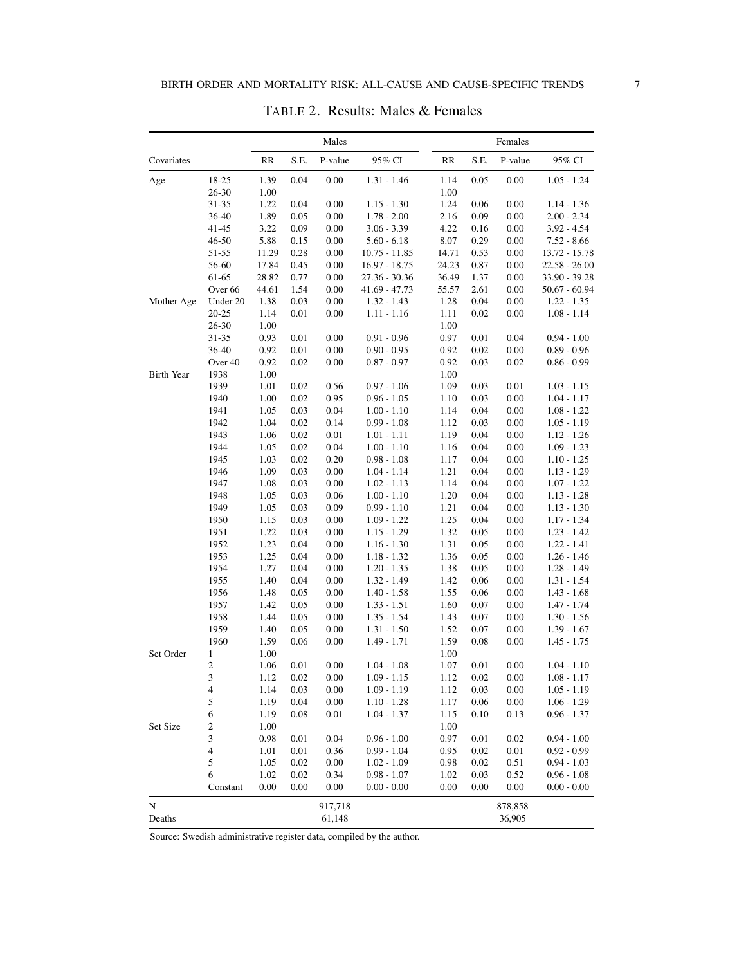|                   |                    |                                   |              | Males        |                                |                                   | Females      |              |                                |
|-------------------|--------------------|-----------------------------------|--------------|--------------|--------------------------------|-----------------------------------|--------------|--------------|--------------------------------|
| Covariates        |                    | $\ensuremath{\mathsf{RR}}\xspace$ | S.E.         | P-value      | 95% CI                         | $\ensuremath{\mathsf{RR}}\xspace$ | S.E.         | P-value      | 95% CI                         |
| Age               | 18-25              | 1.39                              | 0.04         | 0.00         | $1.31 - 1.46$                  | 1.14                              | 0.05         | $0.00\,$     | $1.05 - 1.24$                  |
|                   | $26 - 30$          | 1.00                              |              |              |                                | 1.00                              |              |              |                                |
|                   | 31-35              | 1.22                              | 0.04         | 0.00         | $1.15 - 1.30$                  | 1.24                              | 0.06         | 0.00         | $1.14 - 1.36$                  |
|                   | 36-40              | 1.89                              | 0.05         | 0.00         | $1.78 - 2.00$                  | 2.16                              | 0.09         | 0.00         | $2.00 - 2.34$                  |
|                   | 41-45              | 3.22                              | 0.09         | 0.00         | $3.06 - 3.39$                  | 4.22                              | 0.16         | 0.00         | $3.92 - 4.54$                  |
|                   | 46-50              | 5.88                              | 0.15         | 0.00         | $5.60 - 6.18$                  | 8.07                              | 0.29         | 0.00         | $7.52 - 8.66$                  |
|                   | 51-55              | 11.29                             | 0.28         | 0.00         | $10.75 - 11.85$                | 14.71                             | 0.53         | 0.00         | 13.72 - 15.78                  |
|                   | 56-60              | 17.84                             | 0.45         | 0.00         | $16.97 - 18.75$                | 24.23                             | 0.87         | 0.00         | $22.58 - 26.00$                |
|                   | 61-65              | 28.82                             | 0.77         | 0.00         | 27.36 - 30.36                  | 36.49                             | 1.37         | 0.00         | 33.90 - 39.28                  |
|                   | Over <sub>66</sub> | 44.61                             | 1.54         | 0.00         | $41.69 - 47.73$                | 55.57                             | 2.61         | 0.00         | $50.67 - 60.94$                |
| Mother Age        | Under 20           | 1.38                              | 0.03         | $0.00\,$     | $1.32 - 1.43$                  | 1.28                              | 0.04         | $0.00\,$     | $1.22 - 1.35$                  |
|                   | $20 - 25$          | 1.14                              | 0.01         | 0.00         | $1.11 - 1.16$                  | 1.11                              | 0.02         | 0.00         | $1.08 - 1.14$                  |
|                   | $26 - 30$          | 1.00                              |              |              |                                | 1.00                              |              |              |                                |
|                   | 31-35              | 0.93                              | 0.01         | 0.00         | $0.91 - 0.96$                  | 0.97                              | 0.01         | 0.04         | $0.94 - 1.00$                  |
|                   | 36-40              | 0.92                              | 0.01         | 0.00         | $0.90 - 0.95$                  | 0.92                              | 0.02         | 0.00         | $0.89 - 0.96$                  |
|                   | Over 40            | 0.92                              | 0.02         | 0.00         | $0.87 - 0.97$                  | 0.92                              | 0.03         | 0.02         | $0.86 - 0.99$                  |
| <b>Birth Year</b> | 1938               | 1.00                              |              |              |                                | 1.00                              |              |              |                                |
|                   | 1939               | 1.01                              | 0.02         | 0.56         | $0.97 - 1.06$                  | 1.09                              | 0.03         | 0.01         | $1.03 - 1.15$                  |
|                   | 1940               | 1.00                              | 0.02         | 0.95         | $0.96 - 1.05$                  | 1.10                              | 0.03         | 0.00         | $1.04 - 1.17$                  |
|                   | 1941               | 1.05                              | 0.03         | 0.04         | $1.00 - 1.10$                  | 1.14                              | 0.04         | $0.00\,$     | $1.08 - 1.22$                  |
|                   | 1942               | 1.04                              | 0.02         | 0.14         | $0.99 - 1.08$                  | 1.12                              | 0.03         | 0.00         | $1.05 - 1.19$                  |
|                   | 1943               | 1.06                              | 0.02         | $0.01\,$     | $1.01 - 1.11$                  | 1.19                              | 0.04         | 0.00         | $1.12 - 1.26$                  |
|                   | 1944               | 1.05                              | $0.02\,$     | 0.04         | $1.00 - 1.10$                  | 1.16                              | 0.04         | $0.00\,$     | $1.09 - 1.23$                  |
|                   | 1945               | 1.03                              | 0.02         | 0.20         | $0.98 - 1.08$                  | 1.17                              | 0.04         | 0.00         | $1.10 - 1.25$                  |
|                   | 1946               | 1.09                              | 0.03         | 0.00         | $1.04 - 1.14$                  | 1.21                              | 0.04         | 0.00         | $1.13 - 1.29$                  |
|                   | 1947               | 1.08                              | 0.03         | 0.00         | $1.02 - 1.13$                  | 1.14                              | 0.04         | 0.00         | $1.07 - 1.22$                  |
|                   | 1948               | 1.05                              | 0.03         | 0.06         | $1.00 - 1.10$                  | 1.20                              | 0.04         | $0.00\,$     | $1.13 - 1.28$                  |
|                   | 1949               | 1.05                              | 0.03         | 0.09         | $0.99 - 1.10$                  | 1.21                              | 0.04         | 0.00         | $1.13 - 1.30$                  |
|                   | 1950               | 1.15                              | 0.03         | $0.00\,$     | $1.09 - 1.22$                  | 1.25                              | 0.04         | $0.00\,$     | $1.17 - 1.34$                  |
|                   | 1951               | 1.22                              | 0.03         | 0.00         | $1.15 - 1.29$                  | 1.32                              | 0.05         | 0.00         | $1.23 - 1.42$                  |
|                   | 1952<br>1953       | 1.23                              | 0.04<br>0.04 | 0.00<br>0.00 | $1.16 - 1.30$                  | 1.31                              | 0.05<br>0.05 | 0.00<br>0.00 | $1.22 - 1.41$                  |
|                   | 1954               | 1.25<br>1.27                      |              | 0.00         | $1.18 - 1.32$                  | 1.36                              | 0.05         | 0.00         | $1.26 - 1.46$                  |
|                   | 1955               | 1.40                              | 0.04<br>0.04 | 0.00         | $1.20 - 1.35$<br>$1.32 - 1.49$ | 1.38<br>1.42                      | 0.06         | 0.00         | $1.28 - 1.49$<br>$1.31 - 1.54$ |
|                   | 1956               | 1.48                              | 0.05         | 0.00         | $1.40 - 1.58$                  | 1.55                              | 0.06         | 0.00         | $1.43 - 1.68$                  |
|                   | 1957               | 1.42                              | 0.05         | 0.00         | $1.33 - 1.51$                  | 1.60                              | 0.07         | $0.00\,$     | $1.47 - 1.74$                  |
|                   | 1958               | 1.44                              | 0.05         | 0.00         | $1.35 - 1.54$                  | 1.43                              | 0.07         | 0.00         | $1.30 - 1.56$                  |
|                   | 1959               | 1.40                              | 0.05         | 0.00         | $1.31 - 1.50$                  | 1.52                              | 0.07         | 0.00         | $1.39 - 1.67$                  |
|                   | 1960               | 1.59                              | 0.06         | 0.00         | $1.49 - 1.71$                  | 1.59                              | 0.08         | 0.00         | $1.45 - 1.75$                  |
| Set Order         | $\mathbf{1}$       | 1.00                              |              |              |                                | 1.00                              |              |              |                                |
|                   | $\overline{c}$     | 1.06                              | 0.01         | 0.00         | $1.04 - 1.08$                  | 1.07                              | 0.01         | 0.00         | $1.04 - 1.10$                  |
|                   | 3                  | 1.12                              | 0.02         | $0.00\,$     | $1.09 - 1.15$                  | 1.12                              | 0.02         | $0.00\,$     | $1.08 - 1.17$                  |
|                   | 4                  | 1.14                              | 0.03         | 0.00         | $1.09 - 1.19$                  | 1.12                              | 0.03         | 0.00         | $1.05 - 1.19$                  |
|                   | 5                  | 1.19                              | 0.04         | 0.00         | $1.10 - 1.28$                  | 1.17                              | 0.06         | 0.00         | $1.06 - 1.29$                  |
|                   | 6                  | 1.19                              | 0.08         | 0.01         | $1.04 - 1.37$                  | 1.15                              | 0.10         | 0.13         | $0.96 - 1.37$                  |
| Set Size          | 2                  | 1.00                              |              |              |                                | 1.00                              |              |              |                                |
|                   | $\mathfrak{Z}$     | 0.98                              | 0.01         | 0.04         | $0.96 - 1.00$                  | 0.97                              | 0.01         | 0.02         | $0.94 - 1.00$                  |
|                   | 4                  | 1.01                              | 0.01         | 0.36         | $0.99 - 1.04$                  | 0.95                              | 0.02         | $0.01\,$     | $0.92 - 0.99$                  |
|                   | 5                  | 1.05                              | 0.02         | 0.00         | $1.02 - 1.09$                  | 0.98                              | 0.02         | 0.51         | $0.94 - 1.03$                  |
|                   | 6                  | 1.02                              | 0.02         | 0.34         | $0.98 - 1.07$                  | 1.02                              | 0.03         | 0.52         | $0.96 - 1.08$                  |
|                   | Constant           | 0.00                              | 0.00         | 0.00         | $0.00 - 0.00$                  | 0.00                              | 0.00         | 0.00         | $0.00 - 0.00$                  |
|                   |                    |                                   |              |              |                                |                                   |              |              |                                |
| N                 |                    |                                   |              | 917,718      |                                |                                   |              | 878,858      |                                |
| Deaths            |                    |                                   |              | 61,148       |                                |                                   |              | 36,905       |                                |

TABLE 2. Results: Males & Females

Source: Swedish administrative register data, compiled by the author.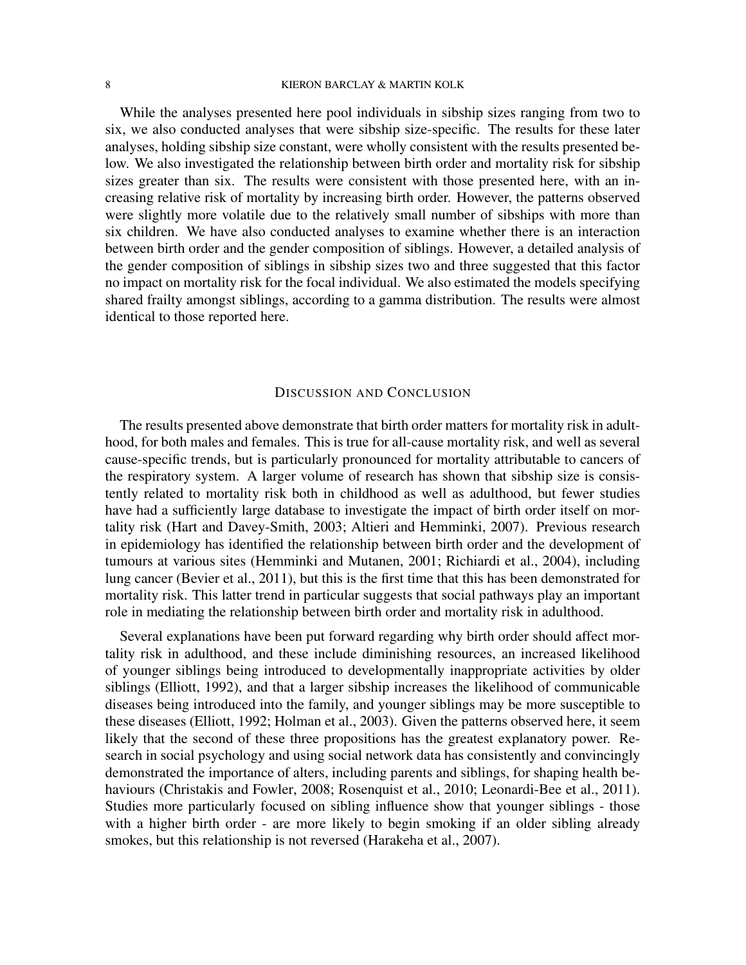While the analyses presented here pool individuals in sibship sizes ranging from two to six, we also conducted analyses that were sibship size-specific. The results for these later analyses, holding sibship size constant, were wholly consistent with the results presented below. We also investigated the relationship between birth order and mortality risk for sibship sizes greater than six. The results were consistent with those presented here, with an increasing relative risk of mortality by increasing birth order. However, the patterns observed were slightly more volatile due to the relatively small number of sibships with more than six children. We have also conducted analyses to examine whether there is an interaction between birth order and the gender composition of siblings. However, a detailed analysis of the gender composition of siblings in sibship sizes two and three suggested that this factor no impact on mortality risk for the focal individual. We also estimated the models specifying shared frailty amongst siblings, according to a gamma distribution. The results were almost identical to those reported here.

# DISCUSSION AND CONCLUSION

The results presented above demonstrate that birth order matters for mortality risk in adulthood, for both males and females. This is true for all-cause mortality risk, and well as several cause-specific trends, but is particularly pronounced for mortality attributable to cancers of the respiratory system. A larger volume of research has shown that sibship size is consistently related to mortality risk both in childhood as well as adulthood, but fewer studies have had a sufficiently large database to investigate the impact of birth order itself on mortality risk (Hart and Davey-Smith, 2003; Altieri and Hemminki, 2007). Previous research in epidemiology has identified the relationship between birth order and the development of tumours at various sites (Hemminki and Mutanen, 2001; Richiardi et al., 2004), including lung cancer (Bevier et al., 2011), but this is the first time that this has been demonstrated for mortality risk. This latter trend in particular suggests that social pathways play an important role in mediating the relationship between birth order and mortality risk in adulthood.

Several explanations have been put forward regarding why birth order should affect mortality risk in adulthood, and these include diminishing resources, an increased likelihood of younger siblings being introduced to developmentally inappropriate activities by older siblings (Elliott, 1992), and that a larger sibship increases the likelihood of communicable diseases being introduced into the family, and younger siblings may be more susceptible to these diseases (Elliott, 1992; Holman et al., 2003). Given the patterns observed here, it seem likely that the second of these three propositions has the greatest explanatory power. Research in social psychology and using social network data has consistently and convincingly demonstrated the importance of alters, including parents and siblings, for shaping health behaviours (Christakis and Fowler, 2008; Rosenquist et al., 2010; Leonardi-Bee et al., 2011). Studies more particularly focused on sibling influence show that younger siblings - those with a higher birth order - are more likely to begin smoking if an older sibling already smokes, but this relationship is not reversed (Harakeha et al., 2007).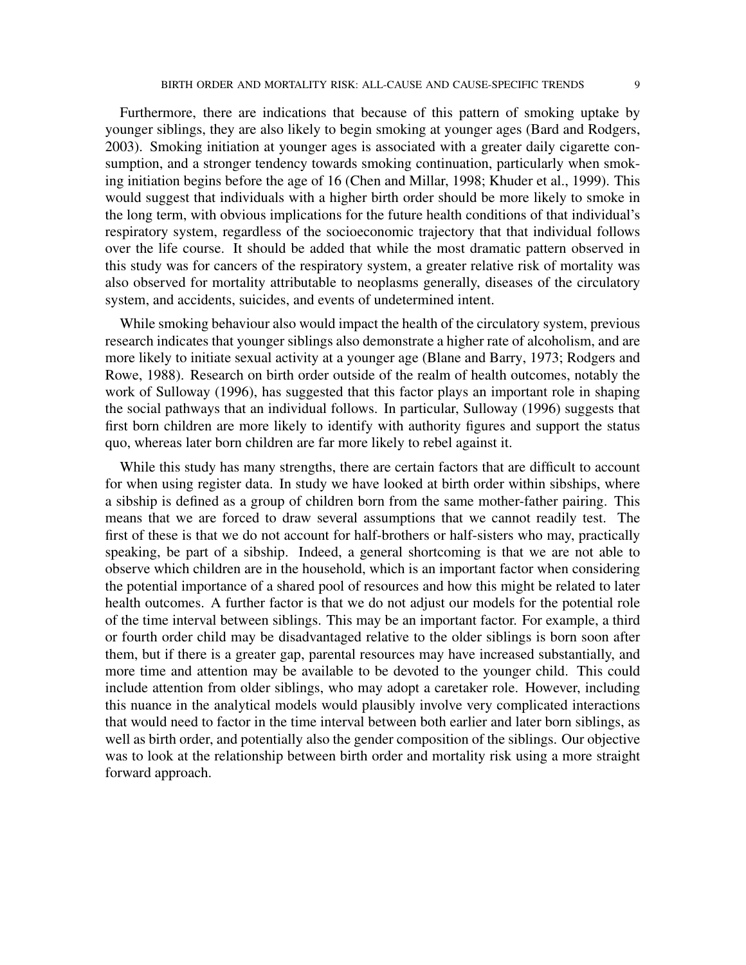Furthermore, there are indications that because of this pattern of smoking uptake by younger siblings, they are also likely to begin smoking at younger ages (Bard and Rodgers, 2003). Smoking initiation at younger ages is associated with a greater daily cigarette consumption, and a stronger tendency towards smoking continuation, particularly when smoking initiation begins before the age of 16 (Chen and Millar, 1998; Khuder et al., 1999). This would suggest that individuals with a higher birth order should be more likely to smoke in the long term, with obvious implications for the future health conditions of that individual's respiratory system, regardless of the socioeconomic trajectory that that individual follows over the life course. It should be added that while the most dramatic pattern observed in this study was for cancers of the respiratory system, a greater relative risk of mortality was also observed for mortality attributable to neoplasms generally, diseases of the circulatory system, and accidents, suicides, and events of undetermined intent.

While smoking behaviour also would impact the health of the circulatory system, previous research indicates that younger siblings also demonstrate a higher rate of alcoholism, and are more likely to initiate sexual activity at a younger age (Blane and Barry, 1973; Rodgers and Rowe, 1988). Research on birth order outside of the realm of health outcomes, notably the work of Sulloway (1996), has suggested that this factor plays an important role in shaping the social pathways that an individual follows. In particular, Sulloway (1996) suggests that first born children are more likely to identify with authority figures and support the status quo, whereas later born children are far more likely to rebel against it.

While this study has many strengths, there are certain factors that are difficult to account for when using register data. In study we have looked at birth order within sibships, where a sibship is defined as a group of children born from the same mother-father pairing. This means that we are forced to draw several assumptions that we cannot readily test. The first of these is that we do not account for half-brothers or half-sisters who may, practically speaking, be part of a sibship. Indeed, a general shortcoming is that we are not able to observe which children are in the household, which is an important factor when considering the potential importance of a shared pool of resources and how this might be related to later health outcomes. A further factor is that we do not adjust our models for the potential role of the time interval between siblings. This may be an important factor. For example, a third or fourth order child may be disadvantaged relative to the older siblings is born soon after them, but if there is a greater gap, parental resources may have increased substantially, and more time and attention may be available to be devoted to the younger child. This could include attention from older siblings, who may adopt a caretaker role. However, including this nuance in the analytical models would plausibly involve very complicated interactions that would need to factor in the time interval between both earlier and later born siblings, as well as birth order, and potentially also the gender composition of the siblings. Our objective was to look at the relationship between birth order and mortality risk using a more straight forward approach.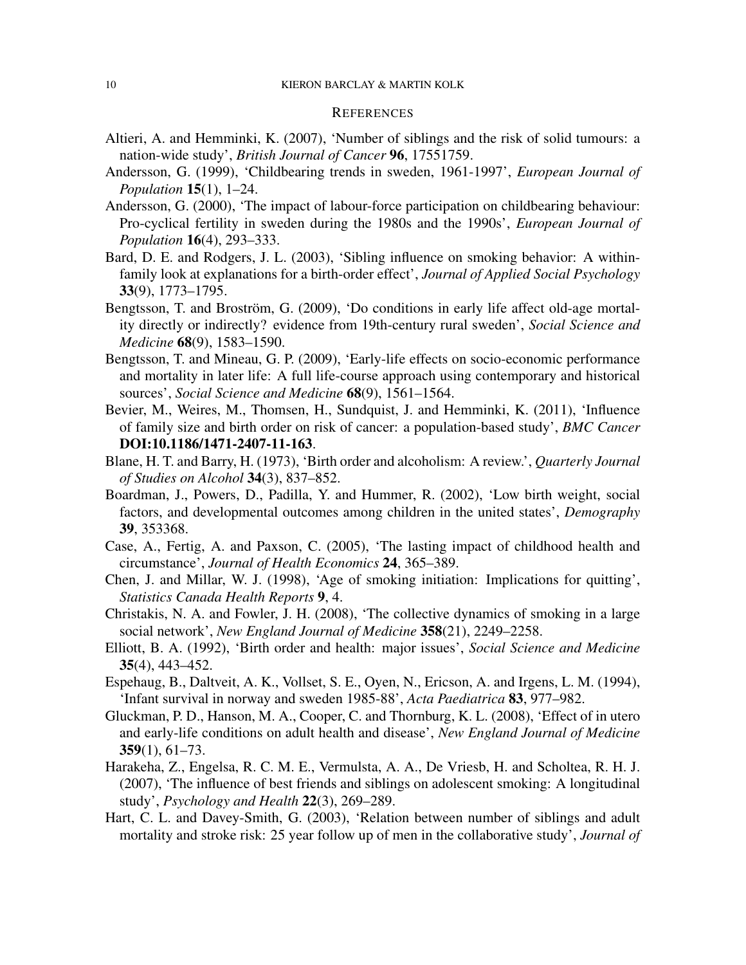# **REFERENCES**

- Altieri, A. and Hemminki, K. (2007), 'Number of siblings and the risk of solid tumours: a nation-wide study', *British Journal of Cancer* 96, 17551759.
- Andersson, G. (1999), 'Childbearing trends in sweden, 1961-1997', *European Journal of Population* 15(1), 1–24.
- Andersson, G. (2000), 'The impact of labour-force participation on childbearing behaviour: Pro-cyclical fertility in sweden during the 1980s and the 1990s', *European Journal of Population* 16(4), 293–333.
- Bard, D. E. and Rodgers, J. L. (2003), 'Sibling influence on smoking behavior: A withinfamily look at explanations for a birth-order effect', *Journal of Applied Social Psychology* 33(9), 1773–1795.
- Bengtsson, T. and Broström, G. (2009), 'Do conditions in early life affect old-age mortality directly or indirectly? evidence from 19th-century rural sweden', *Social Science and Medicine* 68(9), 1583–1590.
- Bengtsson, T. and Mineau, G. P. (2009), 'Early-life effects on socio-economic performance and mortality in later life: A full life-course approach using contemporary and historical sources', *Social Science and Medicine* 68(9), 1561–1564.
- Bevier, M., Weires, M., Thomsen, H., Sundquist, J. and Hemminki, K. (2011), 'Influence of family size and birth order on risk of cancer: a population-based study', *BMC Cancer* DOI:10.1186/1471-2407-11-163.
- Blane, H. T. and Barry, H. (1973), 'Birth order and alcoholism: A review.', *Quarterly Journal of Studies on Alcohol* 34(3), 837–852.
- Boardman, J., Powers, D., Padilla, Y. and Hummer, R. (2002), 'Low birth weight, social factors, and developmental outcomes among children in the united states', *Demography* 39, 353368.
- Case, A., Fertig, A. and Paxson, C. (2005), 'The lasting impact of childhood health and circumstance', *Journal of Health Economics* 24, 365–389.
- Chen, J. and Millar, W. J. (1998), 'Age of smoking initiation: Implications for quitting', *Statistics Canada Health Reports* 9, 4.
- Christakis, N. A. and Fowler, J. H. (2008), 'The collective dynamics of smoking in a large social network', *New England Journal of Medicine* 358(21), 2249–2258.
- Elliott, B. A. (1992), 'Birth order and health: major issues', *Social Science and Medicine* 35(4), 443–452.
- Espehaug, B., Daltveit, A. K., Vollset, S. E., Oyen, N., Ericson, A. and Irgens, L. M. (1994), 'Infant survival in norway and sweden 1985-88', *Acta Paediatrica* 83, 977–982.
- Gluckman, P. D., Hanson, M. A., Cooper, C. and Thornburg, K. L. (2008), 'Effect of in utero and early-life conditions on adult health and disease', *New England Journal of Medicine* 359(1), 61–73.
- Harakeha, Z., Engelsa, R. C. M. E., Vermulsta, A. A., De Vriesb, H. and Scholtea, R. H. J. (2007), 'The influence of best friends and siblings on adolescent smoking: A longitudinal study', *Psychology and Health* 22(3), 269–289.
- Hart, C. L. and Davey-Smith, G. (2003), 'Relation between number of siblings and adult mortality and stroke risk: 25 year follow up of men in the collaborative study', *Journal of*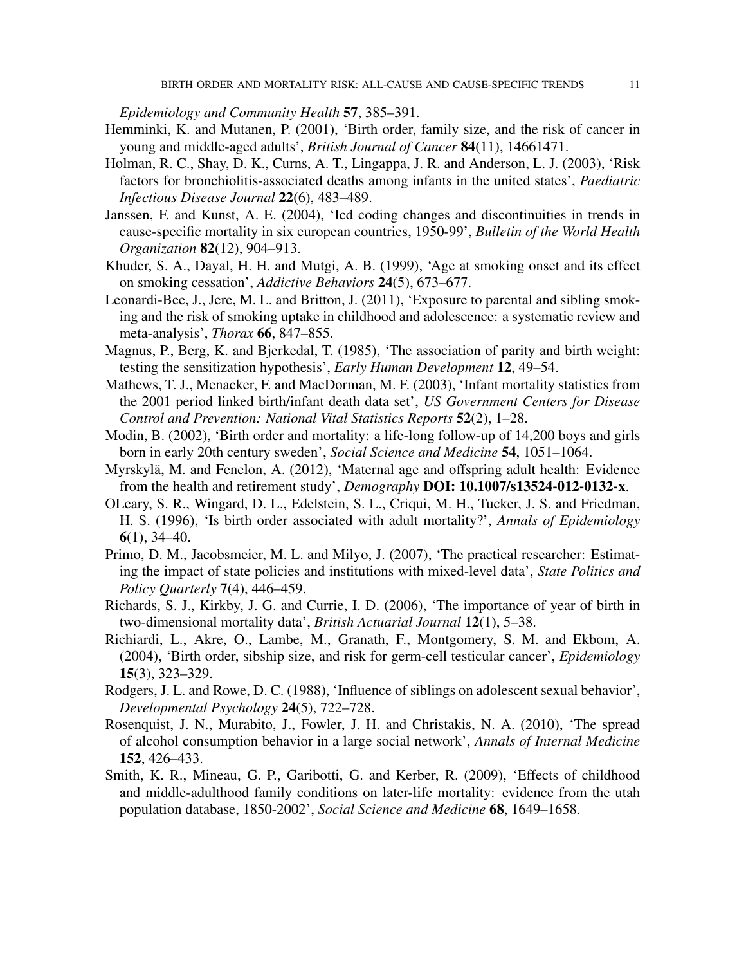*Epidemiology and Community Health* 57, 385–391.

- Hemminki, K. and Mutanen, P. (2001), 'Birth order, family size, and the risk of cancer in young and middle-aged adults', *British Journal of Cancer* 84(11), 14661471.
- Holman, R. C., Shay, D. K., Curns, A. T., Lingappa, J. R. and Anderson, L. J. (2003), 'Risk factors for bronchiolitis-associated deaths among infants in the united states', *Paediatric Infectious Disease Journal* 22(6), 483–489.
- Janssen, F. and Kunst, A. E. (2004), 'Icd coding changes and discontinuities in trends in cause-specific mortality in six european countries, 1950-99', *Bulletin of the World Health Organization* 82(12), 904–913.
- Khuder, S. A., Dayal, H. H. and Mutgi, A. B. (1999), 'Age at smoking onset and its effect on smoking cessation', *Addictive Behaviors* 24(5), 673–677.
- Leonardi-Bee, J., Jere, M. L. and Britton, J. (2011), 'Exposure to parental and sibling smoking and the risk of smoking uptake in childhood and adolescence: a systematic review and meta-analysis', *Thorax* 66, 847–855.
- Magnus, P., Berg, K. and Bjerkedal, T. (1985), 'The association of parity and birth weight: testing the sensitization hypothesis', *Early Human Development* 12, 49–54.
- Mathews, T. J., Menacker, F. and MacDorman, M. F. (2003), 'Infant mortality statistics from the 2001 period linked birth/infant death data set', *US Government Centers for Disease Control and Prevention: National Vital Statistics Reports* 52(2), 1–28.
- Modin, B. (2002), 'Birth order and mortality: a life-long follow-up of 14,200 boys and girls born in early 20th century sweden', *Social Science and Medicine* 54, 1051–1064.
- Myrskylä, M. and Fenelon, A. (2012), 'Maternal age and offspring adult health: Evidence from the health and retirement study', *Demography* DOI: 10.1007/s13524-012-0132-x.
- OLeary, S. R., Wingard, D. L., Edelstein, S. L., Criqui, M. H., Tucker, J. S. and Friedman, H. S. (1996), 'Is birth order associated with adult mortality?', *Annals of Epidemiology*  $6(1)$ , 34–40.
- Primo, D. M., Jacobsmeier, M. L. and Milyo, J. (2007), 'The practical researcher: Estimating the impact of state policies and institutions with mixed-level data', *State Politics and Policy Quarterly* 7(4), 446–459.
- Richards, S. J., Kirkby, J. G. and Currie, I. D. (2006), 'The importance of year of birth in two-dimensional mortality data', *British Actuarial Journal* 12(1), 5–38.
- Richiardi, L., Akre, O., Lambe, M., Granath, F., Montgomery, S. M. and Ekbom, A. (2004), 'Birth order, sibship size, and risk for germ-cell testicular cancer', *Epidemiology* 15(3), 323–329.
- Rodgers, J. L. and Rowe, D. C. (1988), 'Influence of siblings on adolescent sexual behavior', *Developmental Psychology* 24(5), 722–728.
- Rosenquist, J. N., Murabito, J., Fowler, J. H. and Christakis, N. A. (2010), 'The spread of alcohol consumption behavior in a large social network', *Annals of Internal Medicine* 152, 426–433.
- Smith, K. R., Mineau, G. P., Garibotti, G. and Kerber, R. (2009), 'Effects of childhood and middle-adulthood family conditions on later-life mortality: evidence from the utah population database, 1850-2002', *Social Science and Medicine* 68, 1649–1658.